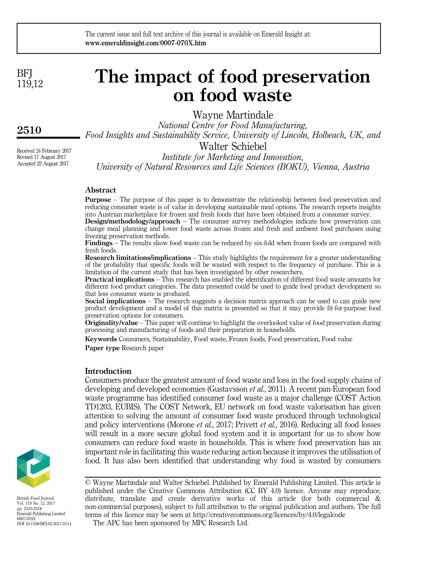BFJ 119,12

2510

# The impact of food preservation on food waste

Wayne Martindale

National Centre for Food Manufacturing, Food Insights and Sustainability Service, University of Lincoln, Holbeach, UK, and

Walter Schiebel

Institute for Marketing and Innovation, University of Natural Resources and Life Sciences (BOKU), Vienna, Austria

# Abstract

Purpose – The purpose of this paper is to demonstrate the relationship between food preservation and reducing consumer waste is of value in developing sustainable meal options. The research reports insights into Austrian marketplace for frozen and fresh foods that have been obtained from a consumer survey.

Design/methodology/approach – The consumer survey methodologies indicate how preservation can change meal planning and lower food waste across frozen and fresh and ambient food purchases using freezing preservation methods.

Findings – The results show food waste can be reduced by six-fold when frozen foods are compared with fresh foods.

Research limitations/implications – This study highlights the requirement for a greater understanding of the probability that specific foods will be wasted with respect to the frequency of purchase. This is a limitation of the current study that has been investigated by other researchers.

Practical implications – This research has enabled the identification of different food waste amounts for different food product categories. The data presented could be used to guide food product development so that less consumer waste is produced.

Social implications – The research suggests a decision matrix approach can be used to can guide new product development and a model of this matrix is presented so that it may provide fit-for-purpose food preservation options for consumers.

**Originality/value** – This paper will continue to highlight the overlooked value of food preservation during processing and manufacturing of foods and their preparation in households.

Keywords Consumers, Sustainability, Food waste, Frozen foods, Food preservation, Food value Paper type Research paper

# **Introduction**

Consumers produce the greatest amount of food waste and loss in the food supply chains of developing and developed economies (Gustavsson *et al.*, 2011). A recent pan-European food waste programme has identified consumer food waste as a major challenge (COST Action TD1203, EUBIS). The COST Network, EU network on food waste valorisation has given attention to solving the amount of consumer food waste produced through technological and policy interventions (Morone et al., 2017; Privett et al., 2016). Reducing all food losses will result in a more secure global food system and it is important for us to show how consumers can reduce food waste in households. This is where food preservation has an important role in facilitating this waste reducing action because it improves the utilisation of food. It has also been identified that understanding why food is wasted by consumers



British Food Journal Vol. 119 No. 12, 2017 pp. 2510-2518 Emerald Publishing Limited 0007-070X DOI 10.1108/BFJ-02-2017-0114 © Wayne Martindale and Walter Schiebel. Published by Emerald Publishing Limited. This article is published under the Creative Commons Attribution (CC BY 4.0) licence. Anyone may reproduce, distribute, translate and create derivative works of this article (for both commercial & non-commercial purposes), subject to full attribution to the original publication and authors. The full terms of this licence may be seen at<http://creativecommons.org/licences/by/4.0/legalcode> The APC has been sponsored by MPC Research Ltd.

Received 24 February 2017 Revised 17 August 2017 Accepted 22 August 2017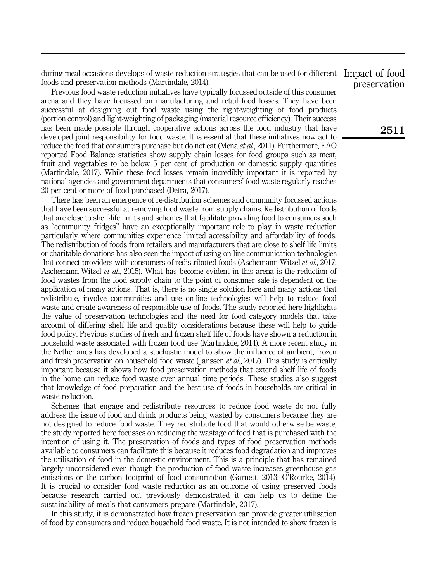during meal occasions develops of waste reduction strategies that can be used for different Impact of food foods and preservation methods (Martindale, 2014).

Previous food waste reduction initiatives have typically focussed outside of this consumer arena and they have focussed on manufacturing and retail food losses. They have been successful at designing out food waste using the right-weighting of food products (portion control) and light-weighting of packaging (material resource efficiency). Their success has been made possible through cooperative actions across the food industry that have developed joint responsibility for food waste. It is essential that these initiatives now act to reduce the food that consumers purchase but do not eat (Mena *et al.*, 2011). Furthermore, FAO reported Food Balance statistics show supply chain losses for food groups such as meat, fruit and vegetables to be below 5 per cent of production or domestic supply quantities (Martindale, 2017). While these food losses remain incredibly important it is reported by national agencies and government departments that consumers' food waste regularly reaches 20 per cent or more of food purchased (Defra, 2017).

There has been an emergence of re-distribution schemes and community focussed actions that have been successful at removing food waste from supply chains. Redistribution of foods that are close to shelf-life limits and schemes that facilitate providing food to consumers such as "community fridges" have an exceptionally important role to play in waste reduction particularly where communities experience limited accessibility and affordability of foods. The redistribution of foods from retailers and manufacturers that are close to shelf life limits or charitable donations has also seen the impact of using on-line communication technologies that connect providers with consumers of redistributed foods (Aschemann-Witzel et al., 2017; Aschemann-Witzel et al., 2015). What has become evident in this arena is the reduction of food wastes from the food supply chain to the point of consumer sale is dependent on the application of many actions. That is, there is no single solution here and many actions that redistribute, involve communities and use on-line technologies will help to reduce food waste and create awareness of responsible use of foods. The study reported here highlights the value of preservation technologies and the need for food category models that take account of differing shelf life and quality considerations because these will help to guide food policy. Previous studies of fresh and frozen shelf life of foods have shown a reduction in household waste associated with frozen food use (Martindale, 2014). A more recent study in the Netherlands has developed a stochastic model to show the influence of ambient, frozen and fresh preservation on household food waste (Janssen *et al.*, 2017). This study is critically important because it shows how food preservation methods that extend shelf life of foods in the home can reduce food waste over annual time periods. These studies also suggest that knowledge of food preparation and the best use of foods in households are critical in waste reduction.

Schemes that engage and redistribute resources to reduce food waste do not fully address the issue of food and drink products being wasted by consumers because they are not designed to reduce food waste. They redistribute food that would otherwise be waste; the study reported here focusses on reducing the wastage of food that is purchased with the intention of using it. The preservation of foods and types of food preservation methods available to consumers can facilitate this because it reduces food degradation and improves the utilisation of food in the domestic environment. This is a principle that has remained largely unconsidered even though the production of food waste increases greenhouse gas emissions or the carbon footprint of food consumption (Garnett, 2013; O'Rourke, 2014). It is crucial to consider food waste reduction as an outcome of using preserved foods because research carried out previously demonstrated it can help us to define the sustainability of meals that consumers prepare (Martindale, 2017).

In this study, it is demonstrated how frozen preservation can provide greater utilisation of food by consumers and reduce household food waste. It is not intended to show frozen is

preservation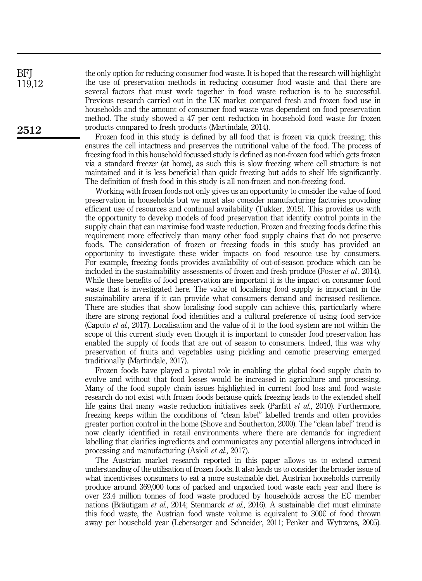the only option for reducing consumer food waste. It is hoped that the research will highlight the use of preservation methods in reducing consumer food waste and that there are several factors that must work together in food waste reduction is to be successful. Previous research carried out in the UK market compared fresh and frozen food use in households and the amount of consumer food waste was dependent on food preservation method. The study showed a 47 per cent reduction in household food waste for frozen products compared to fresh products (Martindale, 2014).

Frozen food in this study is defined by all food that is frozen via quick freezing; this ensures the cell intactness and preserves the nutritional value of the food. The process of freezing food in this household focussed study is defined as non-frozen food which gets frozen via a standard freezer (at home), as such this is slow freezing where cell structure is not maintained and it is less beneficial than quick freezing but adds to shelf life significantly. The definition of fresh food in this study is all non-frozen and non-freezing food.

Working with frozen foods not only gives us an opportunity to consider the value of food preservation in households but we must also consider manufacturing factories providing efficient use of resources and continual availability (Tukker, 2015). This provides us with the opportunity to develop models of food preservation that identify control points in the supply chain that can maximise food waste reduction. Frozen and freezing foods define this requirement more effectively than many other food supply chains that do not preserve foods. The consideration of frozen or freezing foods in this study has provided an opportunity to investigate these wider impacts on food resource use by consumers. For example, freezing foods provides availability of out-of-season produce which can be included in the sustainability assessments of frozen and fresh produce (Foster et al., 2014). While these benefits of food preservation are important it is the impact on consumer food waste that is investigated here. The value of localising food supply is important in the sustainability arena if it can provide what consumers demand and increased resilience. There are studies that show localising food supply can achieve this, particularly where there are strong regional food identities and a cultural preference of using food service (Caputo et al., 2017). Localisation and the value of it to the food system are not within the scope of this current study even though it is important to consider food preservation has enabled the supply of foods that are out of season to consumers. Indeed, this was why preservation of fruits and vegetables using pickling and osmotic preserving emerged traditionally (Martindale, 2017).

Frozen foods have played a pivotal role in enabling the global food supply chain to evolve and without that food losses would be increased in agriculture and processing. Many of the food supply chain issues highlighted in current food loss and food waste research do not exist with frozen foods because quick freezing leads to the extended shelf life gains that many waste reduction initiatives seek (Parfitt et al., 2010). Furthermore, freezing keeps within the conditions of "clean label" labelled trends and often provides greater portion control in the home (Shove and Southerton, 2000). The "clean label" trend is now clearly identified in retail environments where there are demands for ingredient labelling that clarifies ingredients and communicates any potential allergens introduced in processing and manufacturing (Asioli et al., 2017).

The Austrian market research reported in this paper allows us to extend current understanding of the utilisation of frozen foods. It also leads us to consider the broader issue of what incentivises consumers to eat a more sustainable diet. Austrian households currently produce around 369,000 tons of packed and unpacked food waste each year and there is over 23.4 million tonnes of food waste produced by households across the EC member nations (Bräutigam et al., 2014; Stenmarck et al., 2016). A sustainable diet must eliminate this food waste, the Austrian food waste volume is equivalent to 300€ of food thrown away per household year (Lebersorger and Schneider, 2011; Penker and Wytrzens, 2005).

2512

BFJ 119,12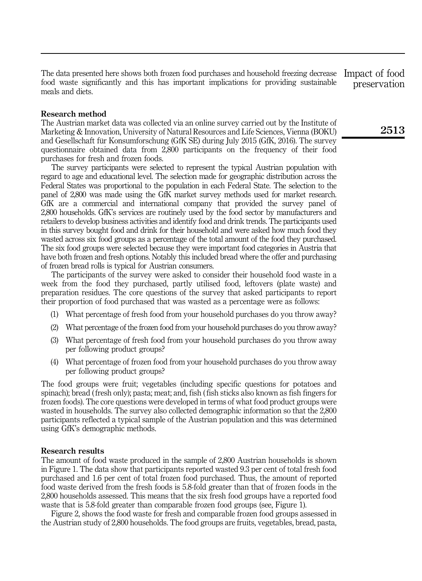The data presented here shows both frozen food purchases and household freezing decrease Impact of food food waste significantly and this has important implications for providing sustainable meals and diets.

## Research method

The Austrian market data was collected via an online survey carried out by the Institute of Marketing & Innovation, University of Natural Resources and Life Sciences, Vienna (BOKU) and Gesellschaft für Konsumforschung (GfK SE) during July 2015 (GfK, 2016). The survey questionnaire obtained data from 2,800 participants on the frequency of their food purchases for fresh and frozen foods.

The survey participants were selected to represent the typical Austrian population with regard to age and educational level. The selection made for geographic distribution across the Federal States was proportional to the population in each Federal State. The selection to the panel of 2,800 was made using the GfK market survey methods used for market research. GfK are a commercial and international company that provided the survey panel of 2,800 households. GfK's services are routinely used by the food sector by manufacturers and retailers to develop business activities and identify food and drink trends. The participants used in this survey bought food and drink for their household and were asked how much food they wasted across six food groups as a percentage of the total amount of the food they purchased. The six food groups were selected because they were important food categories in Austria that have both frozen and fresh options. Notably this included bread where the offer and purchasing of frozen bread rolls is typical for Austrian consumers.

The participants of the survey were asked to consider their household food waste in a week from the food they purchased, partly utilised food, leftovers (plate waste) and preparation residues. The core questions of the survey that asked participants to report their proportion of food purchased that was wasted as a percentage were as follows:

- (1) What percentage of fresh food from your household purchases do you throw away?
- (2) What percentage of the frozen food from your household purchases do you throw away?
- (3) What percentage of fresh food from your household purchases do you throw away per following product groups?
- (4) What percentage of frozen food from your household purchases do you throw away per following product groups?

The food groups were fruit; vegetables (including specific questions for potatoes and spinach); bread ( fresh only); pasta; meat; and, fish ( fish sticks also known as fish fingers for frozen foods). The core questions were developed in terms of what food product groups were wasted in households. The survey also collected demographic information so that the 2,800 participants reflected a typical sample of the Austrian population and this was determined using GfK's demographic methods.

## Research results

The amount of food waste produced in the sample of 2,800 Austrian households is shown in Figure 1. The data show that participants reported wasted 9.3 per cent of total fresh food purchased and 1.6 per cent of total frozen food purchased. Thus, the amount of reported food waste derived from the fresh foods is 5.8-fold greater than that of frozen foods in the 2,800 households assessed. This means that the six fresh food groups have a reported food waste that is 5.8-fold greater than comparable frozen food groups (see, Figure 1).

Figure 2, shows the food waste for fresh and comparable frozen food groups assessed in the Austrian study of 2,800 households. The food groups are fruits, vegetables, bread, pasta, preservation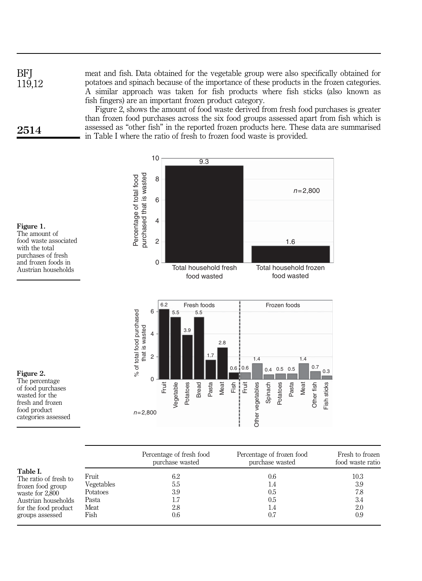meat and fish. Data obtained for the vegetable group were also specifically obtained for potatoes and spinach because of the importance of these products in the frozen categories. A similar approach was taken for fish products where fish sticks (also known as fish fingers) are an important frozen product category.

2514

**BFI** 119,12

> Figure 2, shows the amount of food waste derived from fresh food purchases is greater than frozen food purchases across the six food groups assessed apart from fish which is assessed as "other fish" in the reported frozen products here. These data are summarised in Table I where the ratio of fresh to frozen food waste is provided.



Figure 1. The amount of food waste associated with the total purchases of fresh and frozen foods in Austrian households

The percentage of food purchases wasted for the fresh and frozen food product

categories assessed

Figure 2.

|                                                                                                                                             |            | Percentage of fresh food<br>purchase wasted | Percentage of frozen food<br>purchase wasted | Fresh to frozen<br>food waste ratio |
|---------------------------------------------------------------------------------------------------------------------------------------------|------------|---------------------------------------------|----------------------------------------------|-------------------------------------|
| Table I.<br>The ratio of fresh to<br>frozen food group<br>waste for 2,800<br>Austrian households<br>for the food product<br>groups assessed | Fruit      | 6.2                                         | 0.6                                          | 10.3                                |
|                                                                                                                                             | Vegetables | 5.5                                         | 1.4                                          | 3.9                                 |
|                                                                                                                                             | Potatoes   | 3.9                                         | 0.5                                          | 7.8                                 |
|                                                                                                                                             | Pasta      | 1.7                                         | 0.5                                          | 3.4                                 |
|                                                                                                                                             | Meat       | 2.8                                         | 1.4                                          | 2.0                                 |
|                                                                                                                                             | Fish       | 0.6                                         | 0.7                                          | 0.9                                 |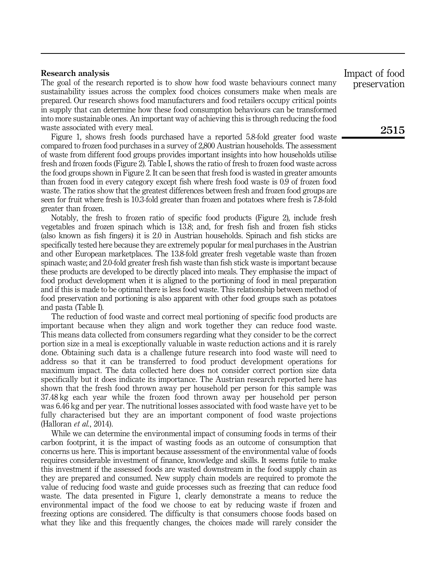# Research analysis

The goal of the research reported is to show how food waste behaviours connect many sustainability issues across the complex food choices consumers make when meals are prepared. Our research shows food manufacturers and food retailers occupy critical points in supply that can determine how these food consumption behaviours can be transformed into more sustainable ones. An important way of achieving this is through reducing the food waste associated with every meal.

Figure 1, shows fresh foods purchased have a reported 5.8-fold greater food waste compared to frozen food purchases in a survey of 2,800 Austrian households. The assessment of waste from different food groups provides important insights into how households utilise fresh and frozen foods (Figure 2). Table I, shows the ratio of fresh to frozen food waste across the food groups shown in Figure 2. It can be seen that fresh food is wasted in greater amounts than frozen food in every category except fish where fresh food waste is 0.9 of frozen food waste. The ratios show that the greatest differences between fresh and frozen food groups are seen for fruit where fresh is 10.3-fold greater than frozen and potatoes where fresh is 7.8-fold greater than frozen.

Notably, the fresh to frozen ratio of specific food products (Figure 2), include fresh vegetables and frozen spinach which is 13.8; and, for fresh fish and frozen fish sticks (also known as fish fingers) it is 2.0 in Austrian households. Spinach and fish sticks are specifically tested here because they are extremely popular for meal purchases in the Austrian and other European marketplaces. The 13.8-fold greater fresh vegetable waste than frozen spinach waste; and 2.0-fold greater fresh fish waste than fish stick waste is important because these products are developed to be directly placed into meals. They emphasise the impact of food product development when it is aligned to the portioning of food in meal preparation and if this is made to be optimal there is less food waste. This relationship between method of food preservation and portioning is also apparent with other food groups such as potatoes and pasta (Table I).

The reduction of food waste and correct meal portioning of specific food products are important because when they align and work together they can reduce food waste. This means data collected from consumers regarding what they consider to be the correct portion size in a meal is exceptionally valuable in waste reduction actions and it is rarely done. Obtaining such data is a challenge future research into food waste will need to address so that it can be transferred to food product development operations for maximum impact. The data collected here does not consider correct portion size data specifically but it does indicate its importance. The Austrian research reported here has shown that the fresh food thrown away per household per person for this sample was 37.48 kg each year while the frozen food thrown away per household per person was 6.46 kg and per year. The nutritional losses associated with food waste have yet to be fully characterised but they are an important component of food waste projections (Halloran  $et$  al., 2014).

While we can determine the environmental impact of consuming foods in terms of their carbon footprint, it is the impact of wasting foods as an outcome of consumption that concerns us here. This is important because assessment of the environmental value of foods requires considerable investment of finance, knowledge and skills. It seems futile to make this investment if the assessed foods are wasted downstream in the food supply chain as they are prepared and consumed. New supply chain models are required to promote the value of reducing food waste and guide processes such as freezing that can reduce food waste. The data presented in Figure 1, clearly demonstrate a means to reduce the environmental impact of the food we choose to eat by reducing waste if frozen and freezing options are considered. The difficulty is that consumers choose foods based on what they like and this frequently changes, the choices made will rarely consider the

Impact of food preservation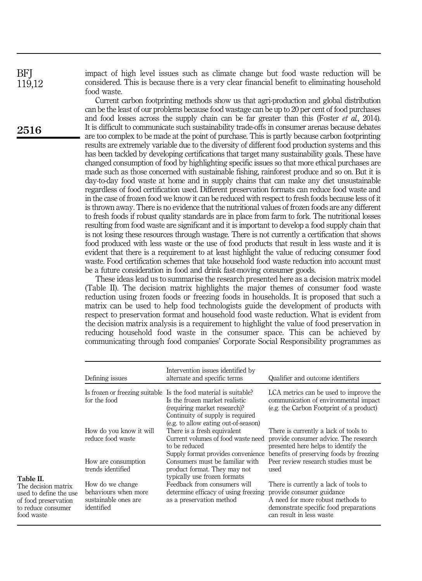impact of high level issues such as climate change but food waste reduction will be considered. This is because there is a very clear financial benefit to eliminating household food waste.

Current carbon footprinting methods show us that agri-production and global distribution can be the least of our problems because food wastage can be up to 20 per cent of food purchases and food losses across the supply chain can be far greater than this (Foster *et al.*, 2014). It is difficult to communicate such sustainability trade-offs in consumer arenas because debates are too complex to be made at the point of purchase. This is partly because carbon footprinting results are extremely variable due to the diversity of different food production systems and this has been tackled by developing certifications that target many sustainability goals. These have changed consumption of food by highlighting specific issues so that more ethical purchases are made such as those concerned with sustainable fishing, rainforest produce and so on. But it is day-to-day food waste at home and in supply chains that can make any diet unsustainable regardless of food certification used. Different preservation formats can reduce food waste and in the case of frozen food we know it can be reduced with respect to fresh foods because less of it is thrown away. There is no evidence that the nutritional values of frozen foods are any different to fresh foods if robust quality standards are in place from farm to fork. The nutritional losses resulting from food waste are significant and it is important to develop a food supply chain that is not losing these resources through wastage. There is not currently a certification that shows food produced with less waste or the use of food products that result in less waste and it is evident that there is a requirement to at least highlight the value of reducing consumer food waste. Food certification schemes that take household food waste reduction into account must be a future consideration in food and drink fast-moving consumer goods.

These ideas lead us to summarise the research presented here as a decision matrix model (Table II). The decision matrix highlights the major themes of consumer food waste reduction using frozen foods or freezing foods in households. It is proposed that such a matrix can be used to help food technologists guide the development of products with respect to preservation format and household food waste reduction. What is evident from the decision matrix analysis is a requirement to highlight the value of food preservation in reducing household food waste in the consumer space. This can be achieved by communicating through food companies' Corporate Social Responsibility programmes as

| Defining issues                                                                | Intervention issues identified by<br>alternate and specific terms                                                                                                                                              | Qualifier and outcome identifiers                                                                                                                                             |
|--------------------------------------------------------------------------------|----------------------------------------------------------------------------------------------------------------------------------------------------------------------------------------------------------------|-------------------------------------------------------------------------------------------------------------------------------------------------------------------------------|
| for the food                                                                   | Is frozen or freezing suitable Is the food material is suitable?<br>Is the frozen market realistic<br>(requiring market research)?<br>Continuity of supply is required<br>(e.g. to allow eating out-of-season) | LCA metrics can be used to improve the<br>communication of environmental impact<br>(e.g. the Carbon Footprint of a product)                                                   |
| How do you know it will<br>reduce food waste                                   | There is a fresh equivalent<br>Current volumes of food waste need<br>to be reduced<br>Supply format provides convenience                                                                                       | There is currently a lack of tools to<br>provide consumer advice. The research<br>presented here helps to identify the<br>benefits of preserving foods by freezing            |
| How are consumption<br>trends identified                                       | Consumers must be familiar with<br>product format. They may not<br>typically use frozen formats                                                                                                                | Peer review research studies must be<br>used                                                                                                                                  |
| How do we change<br>behaviours when more<br>sustainable ones are<br>identified | Feedback from consumers will<br>determine efficacy of using freezing<br>as a preservation method                                                                                                               | There is currently a lack of tools to<br>provide consumer guidance<br>A need for more robust methods to<br>demonstrate specific food preparations<br>can result in less waste |

Table II. The decision matrix

used to define the use of food preservation to reduce consumer food waste

2516

**BFI** 119,12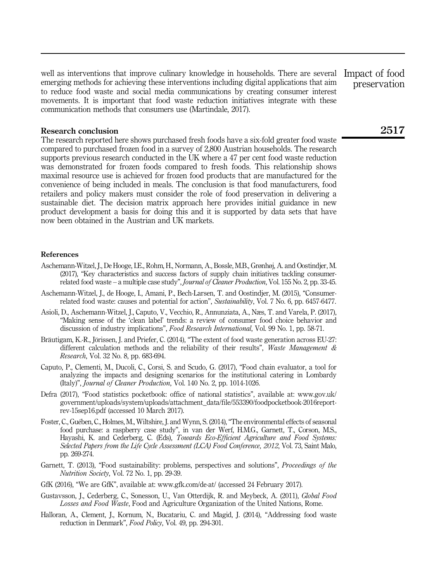well as interventions that improve culinary knowledge in households. There are several emerging methods for achieving these interventions including digital applications that aim to reduce food waste and social media communications by creating consumer interest movements. It is important that food waste reduction initiatives integrate with these communication methods that consumers use (Martindale, 2017).

# Research conclusion

The research reported here shows purchased fresh foods have a six-fold greater food waste compared to purchased frozen food in a survey of 2,800 Austrian households. The research supports previous research conducted in the UK where a 47 per cent food waste reduction was demonstrated for frozen foods compared to fresh foods. This relationship shows maximal resource use is achieved for frozen food products that are manufactured for the convenience of being included in meals. The conclusion is that food manufacturers, food retailers and policy makers must consider the role of food preservation in delivering a sustainable diet. The decision matrix approach here provides initial guidance in new product development a basis for doing this and it is supported by data sets that have now been obtained in the Austrian and UK markets.

# References

- Aschemann-Witzel, J., De Hooge, I.E., Rohm, H., Normann, A., Bossle, M.B., Grønhøj, A. and Oostindjer, M. (2017), "Key characteristics and success factors of supply chain initiatives tackling consumerrelated food waste – a multiple case study", Journal of Cleaner Production, Vol. 155 No. 2, pp. 33-45.
- Aschemann-Witzel, J., de Hooge, I., Amani, P., Bech-Larsen, T. and Oostindjer, M. (2015), "Consumerrelated food waste: causes and potential for action", Sustainability, Vol. 7 No. 6, pp. 6457-6477.
- Asioli, D., Aschemann-Witzel, J., Caputo, V., Vecchio, R., Annunziata, A., Næs, T. and Varela, P. (2017), "Making sense of the 'clean label' trends: a review of consumer food choice behavior and discussion of industry implications", Food Research International, Vol. 99 No. 1, pp. 58-71.
- Bräutigam, K.-R., Jörissen, J. and Priefer, C. (2014), "The extent of food waste generation across EU-27: different calculation methods and the reliability of their results", Waste Management & Research, Vol. 32 No. 8, pp. 683-694.
- Caputo, P., Clementi, M., Ducoli, C., Corsi, S. and Scudo, G. (2017), "Food chain evaluator, a tool for analyzing the impacts and designing scenarios for the institutional catering in Lombardy (Italy)", *Journal of Cleaner Production*, Vol. 140 No. 2, pp. 1014-1026.
- Defra (2017), "Food statistics pocketbook: office of national statistics", available at: [www.gov.uk/](www.gov.uk/government/uploads/system/uploads/attachment_data/file/553390/foodpocketbook-2016report-rev-15sep16.pdf) [government/uploads/system/uploads/attachment\\_data/file/553390/foodpocketbook-2016report](www.gov.uk/government/uploads/system/uploads/attachment_data/file/553390/foodpocketbook-2016report-rev-15sep16.pdf)[rev-15sep16.pdf](www.gov.uk/government/uploads/system/uploads/attachment_data/file/553390/foodpocketbook-2016report-rev-15sep16.pdf) (accessed 10 March 2017).
- Foster, C., Guében, C., Holmes, M., Wiltshire, J. and Wynn, S. (2014), "The environmental effects of seasonal food purchase: a raspberry case study", in van der Werf, H.M.G., Garnett, T., Corson, M.S., Hayashi, K. and Cederberg, C. (Eds), Towards Eco-Efficient Agriculture and Food Systems: Selected Papers from the Life Cycle Assessment (LCA) Food Conference, 2012, Vol. 73, Saint Malo, pp. 269-274.
- Garnett, T. (2013), "Food sustainability: problems, perspectives and solutions", *Proceedings of the* Nutrition Society, Vol. 72 No. 1, pp. 29-39.
- GfK (2016), "We are GfK", available at:<www.gfk.com/de-at/> (accessed 24 February 2017).
- Gustavsson, J., Cederberg, C., Sonesson, U., Van Otterdijk, R. and Meybeck, A. (2011), Global Food Losses and Food Waste, Food and Agriculture Organization of the United Nations, Rome.
- Halloran, A., Clement, J., Kornum, N., Bucatariu, C. and Magid, J. (2014), "Addressing food waste reduction in Denmark", Food Policy, Vol. 49, pp. 294-301.

Impact of food preservation